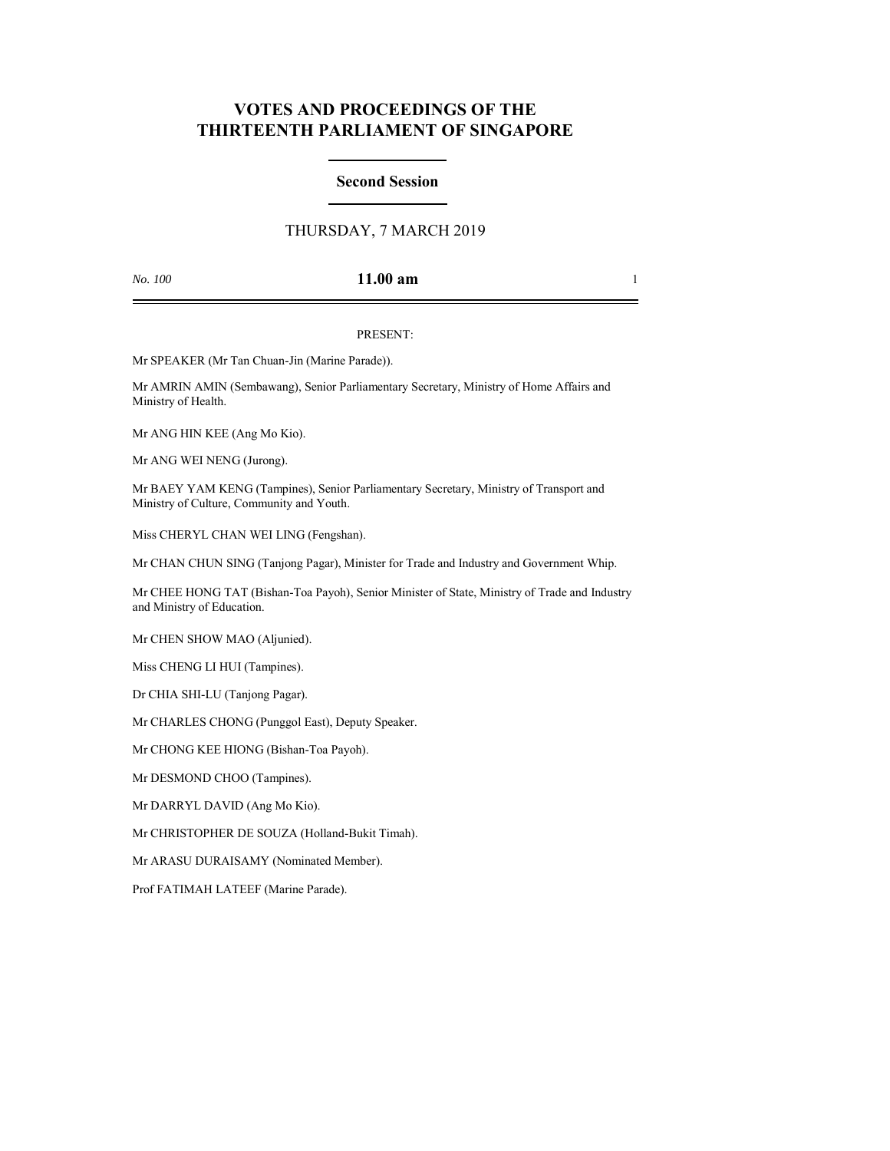# **VOTES AND PROCEEDINGS OF THE THIRTEENTH PARLIAMENT OF SINGAPORE**

### **Second Session**

## THURSDAY, 7 MARCH 2019

### *No. 100* **11.00 am** 1

### PRESENT:

Mr SPEAKER (Mr Tan Chuan-Jin (Marine Parade)).

Mr AMRIN AMIN (Sembawang), Senior Parliamentary Secretary, Ministry of Home Affairs and Ministry of Health.

Mr ANG HIN KEE (Ang Mo Kio).

Mr ANG WEI NENG (Jurong).

Mr BAEY YAM KENG (Tampines), Senior Parliamentary Secretary, Ministry of Transport and Ministry of Culture, Community and Youth.

Miss CHERYL CHAN WEI LING (Fengshan).

Mr CHAN CHUN SING (Tanjong Pagar), Minister for Trade and Industry and Government Whip.

Mr CHEE HONG TAT (Bishan-Toa Payoh), Senior Minister of State, Ministry of Trade and Industry and Ministry of Education.

Mr CHEN SHOW MAO (Aljunied).

Miss CHENG LI HUI (Tampines).

Dr CHIA SHI-LU (Tanjong Pagar).

Mr CHARLES CHONG (Punggol East), Deputy Speaker.

Mr CHONG KEE HIONG (Bishan-Toa Payoh).

Mr DESMOND CHOO (Tampines).

Mr DARRYL DAVID (Ang Mo Kio).

Mr CHRISTOPHER DE SOUZA (Holland-Bukit Timah).

Mr ARASU DURAISAMY (Nominated Member).

Prof FATIMAH LATEEF (Marine Parade).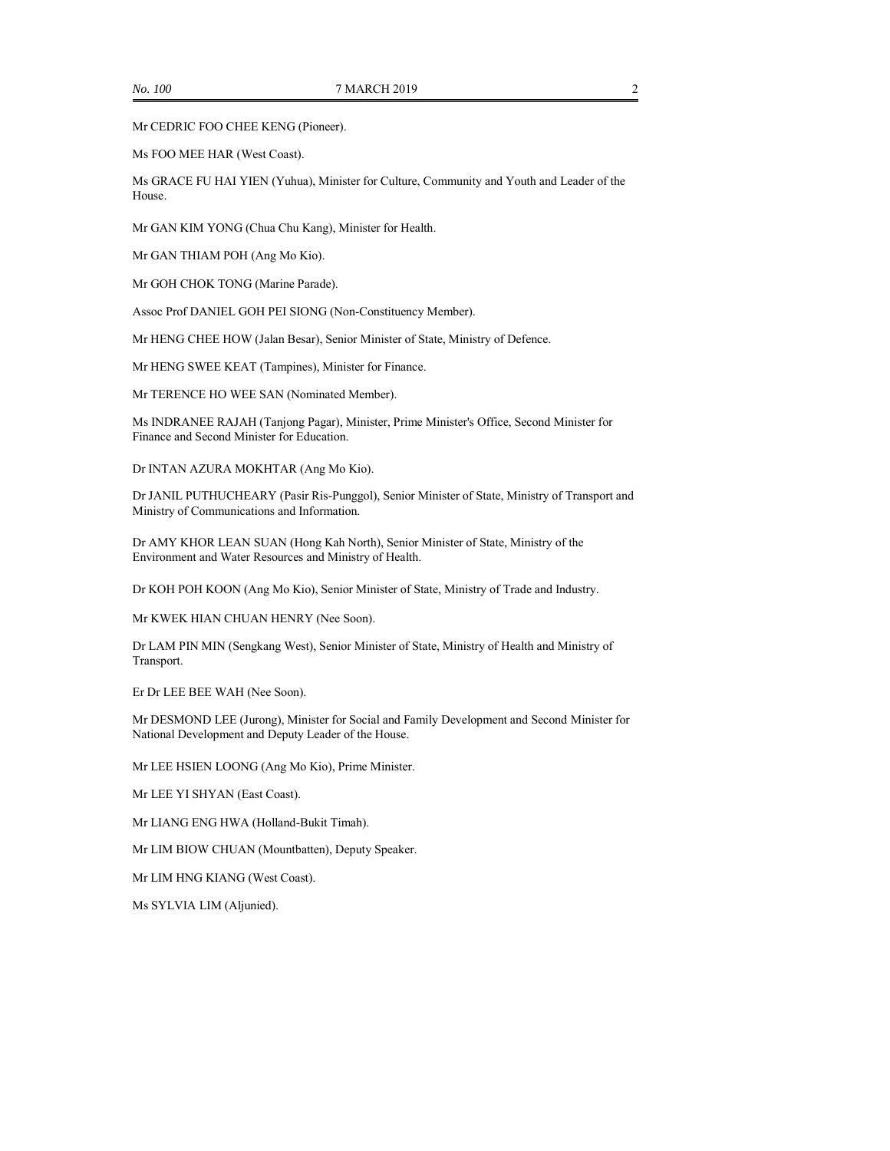Mr CEDRIC FOO CHEE KENG (Pioneer).

Ms FOO MEE HAR (West Coast).

Ms GRACE FU HAI YIEN (Yuhua), Minister for Culture, Community and Youth and Leader of the House.

Mr GAN KIM YONG (Chua Chu Kang), Minister for Health.

Mr GAN THIAM POH (Ang Mo Kio).

Mr GOH CHOK TONG (Marine Parade).

Assoc Prof DANIEL GOH PEI SIONG (Non-Constituency Member).

Mr HENG CHEE HOW (Jalan Besar), Senior Minister of State, Ministry of Defence.

Mr HENG SWEE KEAT (Tampines), Minister for Finance.

Mr TERENCE HO WEE SAN (Nominated Member).

Ms INDRANEE RAJAH (Tanjong Pagar), Minister, Prime Minister's Office, Second Minister for Finance and Second Minister for Education.

Dr INTAN AZURA MOKHTAR (Ang Mo Kio).

Dr JANIL PUTHUCHEARY (Pasir Ris-Punggol), Senior Minister of State, Ministry of Transport and Ministry of Communications and Information.

Dr AMY KHOR LEAN SUAN (Hong Kah North), Senior Minister of State, Ministry of the Environment and Water Resources and Ministry of Health.

Dr KOH POH KOON (Ang Mo Kio), Senior Minister of State, Ministry of Trade and Industry.

Mr KWEK HIAN CHUAN HENRY (Nee Soon).

Dr LAM PIN MIN (Sengkang West), Senior Minister of State, Ministry of Health and Ministry of Transport.

Er Dr LEE BEE WAH (Nee Soon).

Mr DESMOND LEE (Jurong), Minister for Social and Family Development and Second Minister for National Development and Deputy Leader of the House.

Mr LEE HSIEN LOONG (Ang Mo Kio), Prime Minister.

Mr LEE YI SHYAN (East Coast).

Mr LIANG ENG HWA (Holland-Bukit Timah).

Mr LIM BIOW CHUAN (Mountbatten), Deputy Speaker.

Mr LIM HNG KIANG (West Coast).

Ms SYLVIA LIM (Aljunied).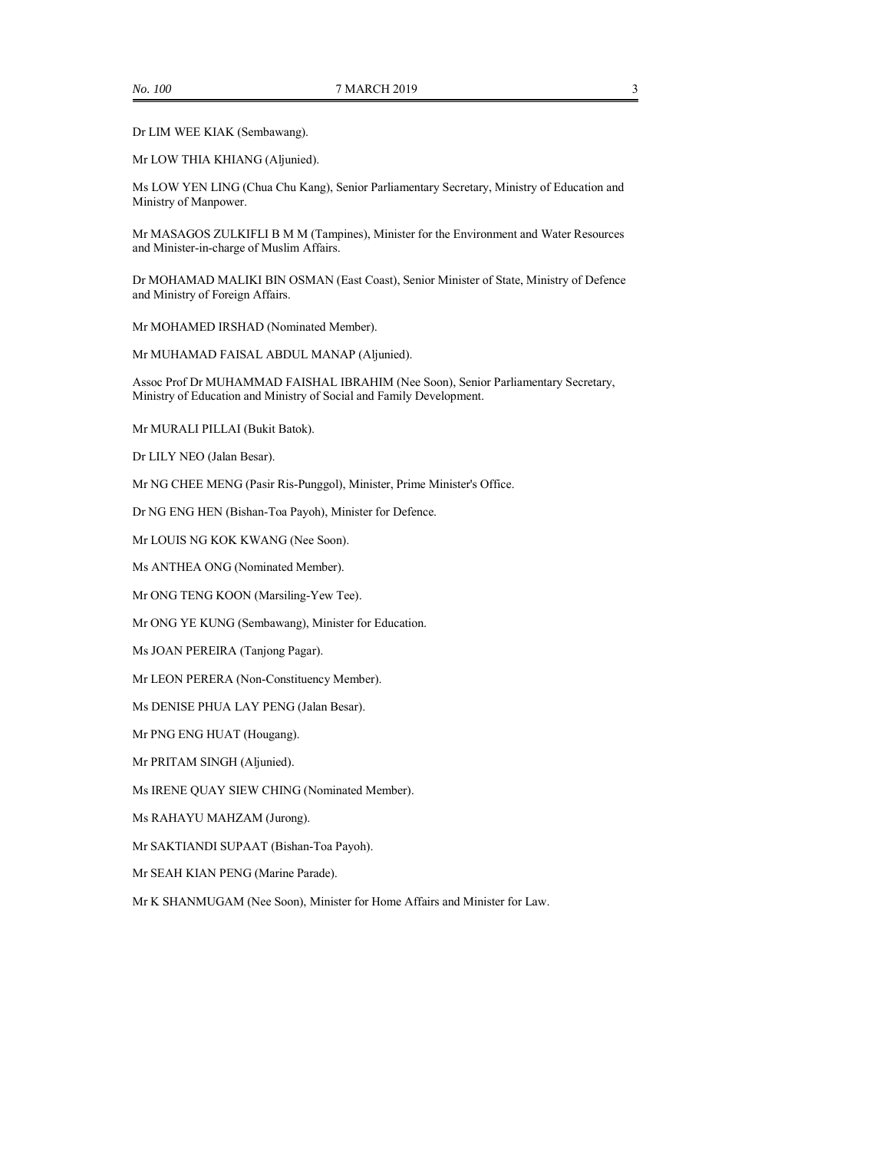Dr LIM WEE KIAK (Sembawang).

Mr LOW THIA KHIANG (Aljunied).

Ms LOW YEN LING (Chua Chu Kang), Senior Parliamentary Secretary, Ministry of Education and Ministry of Manpower.

Mr MASAGOS ZULKIFLI B M M (Tampines), Minister for the Environment and Water Resources and Minister-in-charge of Muslim Affairs.

Dr MOHAMAD MALIKI BIN OSMAN (East Coast), Senior Minister of State, Ministry of Defence and Ministry of Foreign Affairs.

Mr MOHAMED IRSHAD (Nominated Member).

Mr MUHAMAD FAISAL ABDUL MANAP (Aljunied).

Assoc Prof Dr MUHAMMAD FAISHAL IBRAHIM (Nee Soon), Senior Parliamentary Secretary, Ministry of Education and Ministry of Social and Family Development.

Mr MURALI PILLAI (Bukit Batok).

Dr LILY NEO (Jalan Besar).

Mr NG CHEE MENG (Pasir Ris-Punggol), Minister, Prime Minister's Office.

Dr NG ENG HEN (Bishan-Toa Payoh), Minister for Defence.

Mr LOUIS NG KOK KWANG (Nee Soon).

Ms ANTHEA ONG (Nominated Member).

Mr ONG TENG KOON (Marsiling-Yew Tee).

Mr ONG YE KUNG (Sembawang), Minister for Education.

Ms JOAN PEREIRA (Tanjong Pagar).

Mr LEON PERERA (Non-Constituency Member).

Ms DENISE PHUA LAY PENG (Jalan Besar).

Mr PNG ENG HUAT (Hougang).

Mr PRITAM SINGH (Aljunied).

Ms IRENE QUAY SIEW CHING (Nominated Member).

Ms RAHAYU MAHZAM (Jurong).

Mr SAKTIANDI SUPAAT (Bishan-Toa Payoh).

Mr SEAH KIAN PENG (Marine Parade).

Mr K SHANMUGAM (Nee Soon), Minister for Home Affairs and Minister for Law.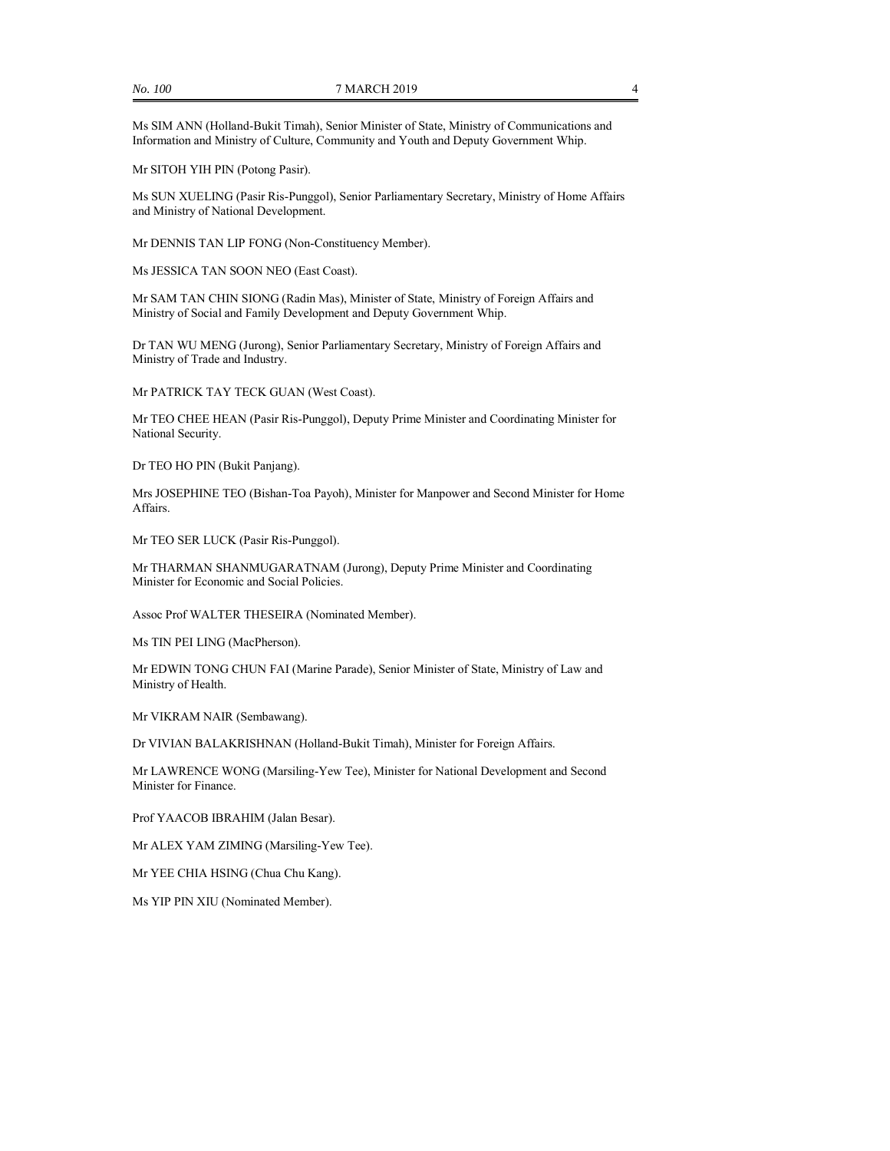Ms SIM ANN (Holland-Bukit Timah), Senior Minister of State, Ministry of Communications and Information and Ministry of Culture, Community and Youth and Deputy Government Whip.

Mr SITOH YIH PIN (Potong Pasir).

Ms SUN XUELING (Pasir Ris-Punggol), Senior Parliamentary Secretary, Ministry of Home Affairs and Ministry of National Development.

Mr DENNIS TAN LIP FONG (Non-Constituency Member).

Ms JESSICA TAN SOON NEO (East Coast).

Mr SAM TAN CHIN SIONG (Radin Mas), Minister of State, Ministry of Foreign Affairs and Ministry of Social and Family Development and Deputy Government Whip.

Dr TAN WU MENG (Jurong), Senior Parliamentary Secretary, Ministry of Foreign Affairs and Ministry of Trade and Industry.

Mr PATRICK TAY TECK GUAN (West Coast).

Mr TEO CHEE HEAN (Pasir Ris-Punggol), Deputy Prime Minister and Coordinating Minister for National Security.

Dr TEO HO PIN (Bukit Panjang).

Mrs JOSEPHINE TEO (Bishan-Toa Payoh), Minister for Manpower and Second Minister for Home Affairs.

Mr TEO SER LUCK (Pasir Ris-Punggol).

Mr THARMAN SHANMUGARATNAM (Jurong), Deputy Prime Minister and Coordinating Minister for Economic and Social Policies.

Assoc Prof WALTER THESEIRA (Nominated Member).

Ms TIN PEI LING (MacPherson).

Mr EDWIN TONG CHUN FAI (Marine Parade), Senior Minister of State, Ministry of Law and Ministry of Health.

Mr VIKRAM NAIR (Sembawang).

Dr VIVIAN BALAKRISHNAN (Holland-Bukit Timah), Minister for Foreign Affairs.

Mr LAWRENCE WONG (Marsiling-Yew Tee), Minister for National Development and Second Minister for Finance.

Prof YAACOB IBRAHIM (Jalan Besar).

Mr ALEX YAM ZIMING (Marsiling-Yew Tee).

Mr YEE CHIA HSING (Chua Chu Kang).

Ms YIP PIN XIU (Nominated Member).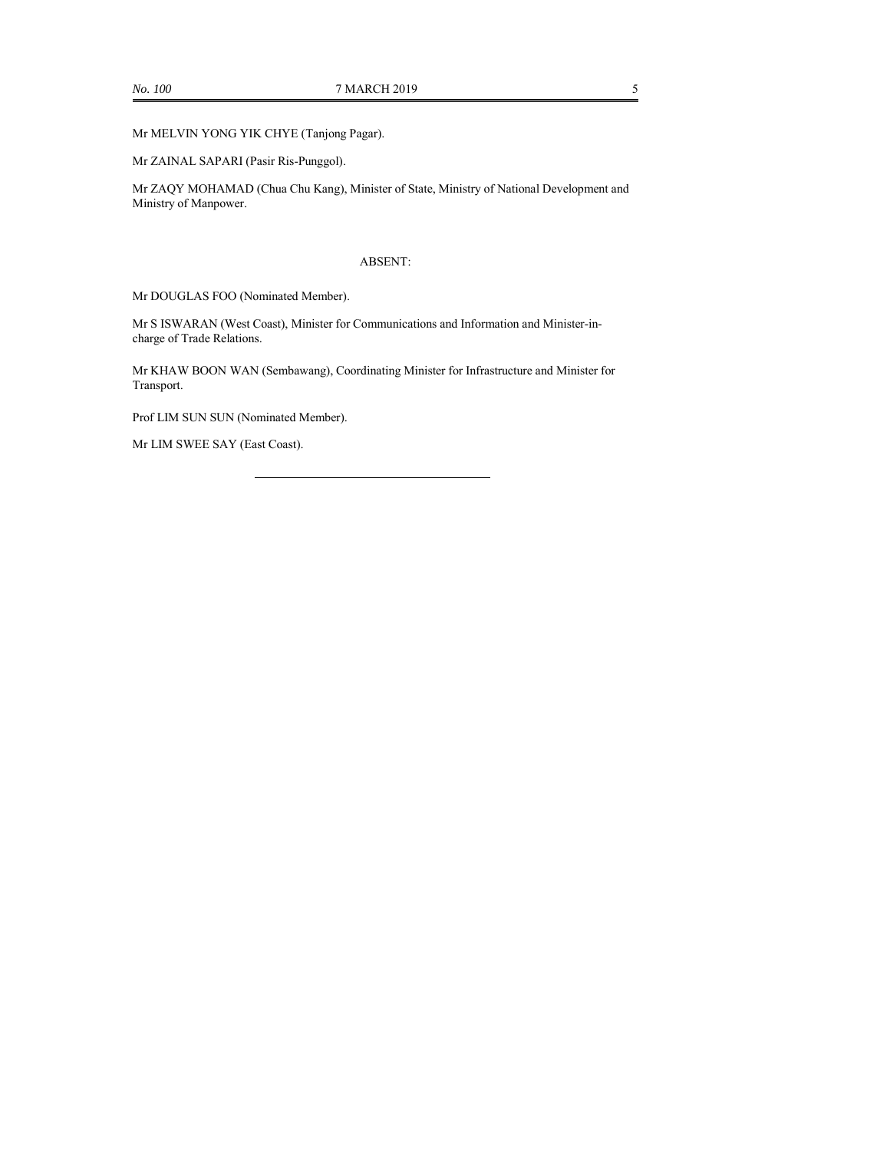Mr MELVIN YONG YIK CHYE (Tanjong Pagar).

Mr ZAINAL SAPARI (Pasir Ris-Punggol).

Mr ZAQY MOHAMAD (Chua Chu Kang), Minister of State, Ministry of National Development and Ministry of Manpower.

### ABSENT:

Mr DOUGLAS FOO (Nominated Member).

Mr S ISWARAN (West Coast), Minister for Communications and Information and Minister-incharge of Trade Relations.

Mr KHAW BOON WAN (Sembawang), Coordinating Minister for Infrastructure and Minister for Transport.

Prof LIM SUN SUN (Nominated Member).

Mr LIM SWEE SAY (East Coast).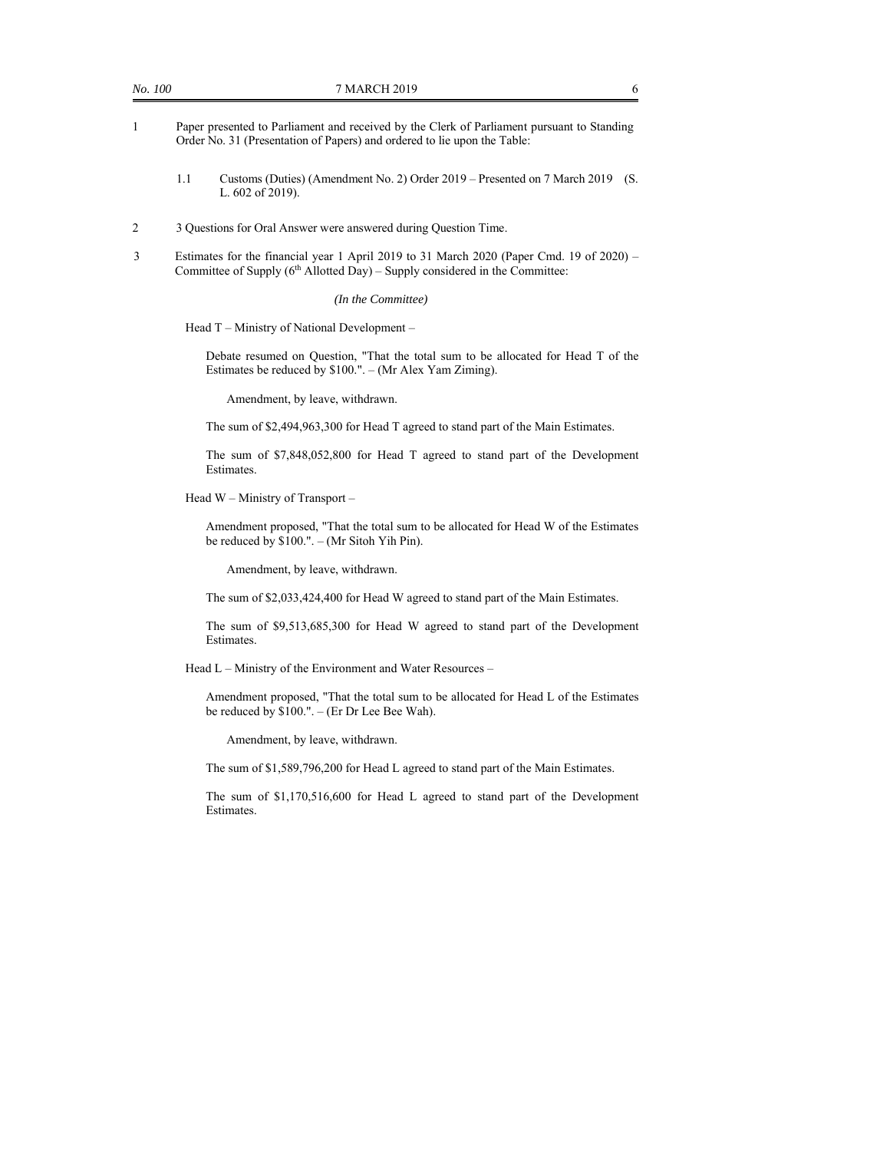- 1 Paper presented to Parliament and received by the Clerk of Parliament pursuant to Standing Order No. 31 (Presentation of Papers) and ordered to lie upon the Table:
	- 1.1 Customs (Duties) (Amendment No. 2) Order 2019 Presented on 7 March 2019 (S. L. 602 of 2019).
- 2 3 Questions for Oral Answer were answered during Question Time.
- 3 Estimates for the financial year 1 April 2019 to 31 March 2020 (Paper Cmd. 19 of 2020) Committee of Supply  $(6<sup>th</sup>$  Allotted Day) – Supply considered in the Committee:

*(In the Committee)* 

Head T – Ministry of National Development –

Debate resumed on Question, "That the total sum to be allocated for Head T of the Estimates be reduced by \$100.". – (Mr Alex Yam Ziming).

Amendment, by leave, withdrawn.

The sum of \$2,494,963,300 for Head T agreed to stand part of the Main Estimates.

The sum of \$7,848,052,800 for Head T agreed to stand part of the Development Estimates.

Head W – Ministry of Transport –

Amendment proposed, "That the total sum to be allocated for Head W of the Estimates be reduced by \$100.". – (Mr Sitoh Yih Pin).

Amendment, by leave, withdrawn.

The sum of \$2,033,424,400 for Head W agreed to stand part of the Main Estimates.

The sum of \$9,513,685,300 for Head W agreed to stand part of the Development Estimates.

Head L – Ministry of the Environment and Water Resources –

Amendment proposed, "That the total sum to be allocated for Head L of the Estimates be reduced by \$100.". – (Er Dr Lee Bee Wah).

Amendment, by leave, withdrawn.

The sum of \$1,589,796,200 for Head L agreed to stand part of the Main Estimates.

The sum of \$1,170,516,600 for Head L agreed to stand part of the Development Estimates.